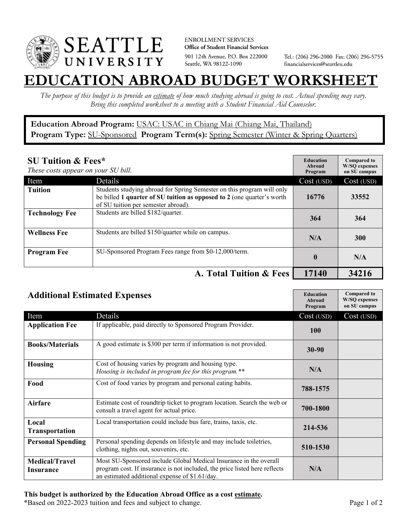

**ENROLLMENT SERVICES** Office of Student Financial Services 901 12th Avenue, P.O. Box 222000 Seattle, WA 98122-1090

Tel.: (206) 296-2000 Fax: (206) 296-5755 financialservices@seattleu.edu

## **EATION ABROAD BUDGET WORKSHEE**

*The purpose of this budget is to provide an estimate of how much studying abroad is going to cost. Actual spending may vary. Bring this completed worksheet to a meeting with a Student Financial Aid Counselor.* 

## **Education Abroad Program:** USAC: USAC in Chiang Mai (Chiang Mai, Thailand) Program Type: **SU-Sponsored** Program Term(s): **Spring Semester** (Winter & Spring Quarters)

| <b>SU Tuition &amp; Fees*</b><br>These costs appear on your SU bill. |                                                                                                                                                                                         | <b>Education</b><br>Abroad<br>Program | <b>Compared to</b><br><b>W/SO</b> expenses<br>on SU campus |
|----------------------------------------------------------------------|-----------------------------------------------------------------------------------------------------------------------------------------------------------------------------------------|---------------------------------------|------------------------------------------------------------|
| Item                                                                 | Details                                                                                                                                                                                 | Cost (USD)                            | Cost (USD)                                                 |
| <b>Tuition</b>                                                       | Students studying abroad for Spring Semester on this program will only<br>be billed 1 quarter of SU tuition as opposed to 2 (one quarter's worth<br>of SU tuition per semester abroad). | 16776                                 | 33552                                                      |
| <b>Technology Fee</b>                                                | Students are billed \$182/quarter.                                                                                                                                                      | 364                                   | 364                                                        |
| <b>Wellness Fee</b>                                                  | Students are billed \$150/quarter while on campus.                                                                                                                                      | N/A                                   | <b>300</b>                                                 |
| <b>Program Fee</b>                                                   | SU-Sponsored Program Fees range from \$0-12,000/term.                                                                                                                                   | $\mathbf{0}$                          | N/A                                                        |
|                                                                      | A. Total Tuition & Fees                                                                                                                                                                 | 17140                                 | 34216                                                      |

| <b>Additional Estimated Expenses</b> |                                                                                                                                                                                                   | <b>Education</b><br>Abroad<br>Program | <b>Compared to</b><br><b>W/SQ</b> expenses<br>on SU campus |
|--------------------------------------|---------------------------------------------------------------------------------------------------------------------------------------------------------------------------------------------------|---------------------------------------|------------------------------------------------------------|
| Item                                 | Details                                                                                                                                                                                           | Cost (USD)                            | Cost (USD)                                                 |
| <b>Application Fee</b>               | If applicable, paid directly to Sponsored Program Provider.                                                                                                                                       | <b>100</b>                            |                                                            |
| <b>Books/Materials</b>               | A good estimate is \$300 per term if information is not provided.                                                                                                                                 | $30 - 90$                             |                                                            |
| <b>Housing</b>                       | Cost of housing varies by program and housing type.<br>Housing is included in program fee for this program.**                                                                                     | N/A                                   |                                                            |
| Food                                 | Cost of food varies by program and personal eating habits.                                                                                                                                        | 788-1575                              |                                                            |
| <b>Airfare</b>                       | Estimate cost of roundtrip ticket to program location. Search the web or<br>consult a travel agent for actual price.                                                                              | 700-1800                              |                                                            |
| Local<br><b>Transportation</b>       | Local transportation could include bus fare, trains, taxis, etc.                                                                                                                                  | 214-536                               |                                                            |
| <b>Personal Spending</b>             | Personal spending depends on lifestyle and may include toiletries,<br>clothing, nights out, souvenirs, etc.                                                                                       | 510-1530                              |                                                            |
| <b>Medical/Travel</b><br>Insurance   | Most SU-Sponsored include Global Medical Insurance in the overall<br>program cost. If insurance is not included, the price listed here reflects<br>an estimated additional expense of \$1.61/day. | N/A                                   |                                                            |

## **This budget is authorized by the Education Abroad Office as a cost estimate.**

\*Based on 2022-2023 tuition and fees and subject to change. Page 1 of 2